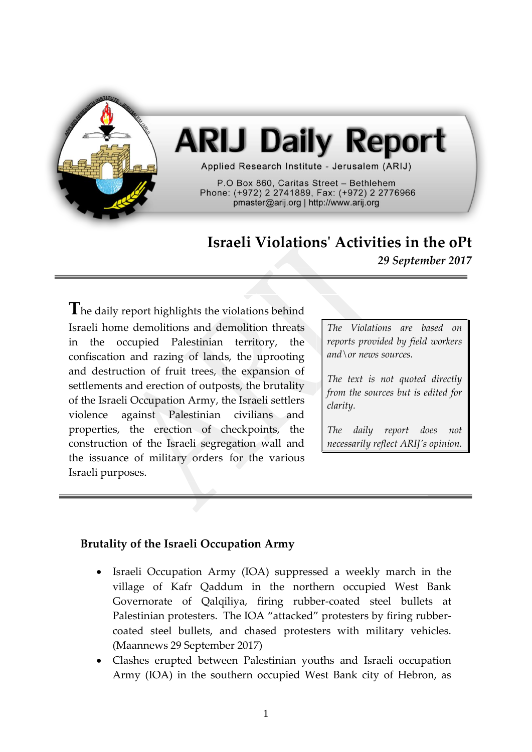

# **ARIJ Daily Report**

Applied Research Institute - Jerusalem (ARIJ)

P.O Box 860. Caritas Street - Bethlehem Phone: (+972) 2 2741889, Fax: (+972) 2 2776966 pmaster@arij.org | http://www.arij.org

## **Israeli Violations' Activities in the oPt**

*29 September 2017*

**T**he daily report highlights the violations behind Israeli home demolitions and demolition threats in the occupied Palestinian territory, the confiscation and razing of lands, the uprooting and destruction of fruit trees, the expansion of settlements and erection of outposts, the brutality of the Israeli Occupation Army, the Israeli settlers violence against Palestinian civilians and properties, the erection of checkpoints, the construction of the Israeli segregation wall and the issuance of military orders for the various Israeli purposes.

*The Violations are based on reports provided by field workers and\or news sources.*

*The text is not quoted directly from the sources but is edited for clarity.*

*The daily report does not necessarily reflect ARIJ's opinion.*

### **Brutality of the Israeli Occupation Army**

- Israeli Occupation Army (IOA) suppressed a weekly march in the village of Kafr Qaddum in the northern occupied West Bank Governorate of Qalqiliya, firing rubber-coated steel bullets at Palestinian protesters. The IOA "attacked" protesters by firing rubbercoated steel bullets, and chased protesters with military vehicles. (Maannews 29 September 2017)
- Clashes erupted between Palestinian youths and Israeli occupation Army (IOA) in the southern occupied West Bank city of Hebron, as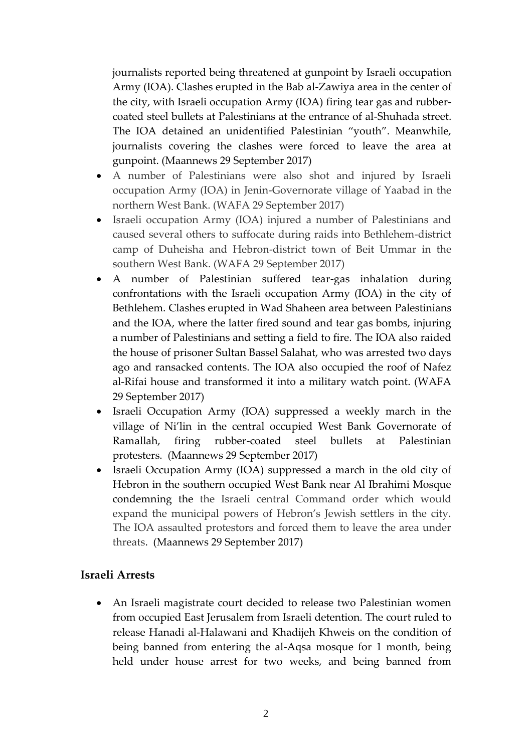journalists reported being threatened at gunpoint by Israeli occupation Army (IOA). Clashes erupted in the Bab al-Zawiya area in the center of the city, with Israeli occupation Army (IOA) firing tear gas and rubbercoated steel bullets at Palestinians at the entrance of al-Shuhada street. The IOA detained an unidentified Palestinian "youth". Meanwhile, journalists covering the clashes were forced to leave the area at gunpoint. (Maannews 29 September 2017)

- A number of Palestinians were also shot and injured by Israeli occupation Army (IOA) in Jenin-Governorate village of Yaabad in the northern West Bank. (WAFA 29 September 2017)
- Israeli occupation Army (IOA) injured a number of Palestinians and caused several others to suffocate during raids into Bethlehem-district camp of Duheisha and Hebron-district town of Beit Ummar in the southern West Bank. (WAFA 29 September 2017)
- A number of Palestinian suffered tear-gas inhalation during confrontations with the Israeli occupation Army (IOA) in the city of Bethlehem. Clashes erupted in Wad Shaheen area between Palestinians and the IOA, where the latter fired sound and tear gas bombs, injuring a number of Palestinians and setting a field to fire. The IOA also raided the house of prisoner Sultan Bassel Salahat, who was arrested two days ago and ransacked contents. The IOA also occupied the roof of Nafez al-Rifai house and transformed it into a military watch point. (WAFA 29 September 2017)
- Israeli Occupation Army (IOA) suppressed a weekly march in the village of Ni'lin in the central occupied West Bank Governorate of Ramallah, firing rubber-coated steel bullets at Palestinian protesters. (Maannews 29 September 2017)
- Israeli Occupation Army (IOA) suppressed a march in the old city of Hebron in the southern occupied West Bank near Al Ibrahimi Mosque condemning the the Israeli central Command order which would expand the municipal powers of Hebron's Jewish settlers in the city. The IOA assaulted protestors and forced them to leave the area under threats. (Maannews 29 September 2017)

#### **Israeli Arrests**

 An Israeli magistrate court decided to release two Palestinian women from occupied East Jerusalem from Israeli detention. The court ruled to release Hanadi al-Halawani and Khadijeh Khweis on the condition of being banned from entering the al-Aqsa mosque for 1 month, being held under house arrest for two weeks, and being banned from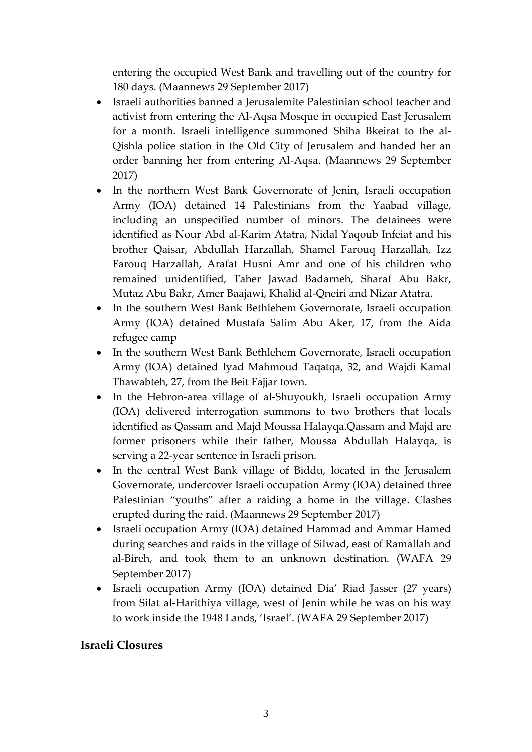entering the occupied West Bank and travelling out of the country for 180 days. (Maannews 29 September 2017)

- Israeli authorities banned a Jerusalemite Palestinian school teacher and activist from entering the Al-Aqsa Mosque in occupied East Jerusalem for a month. Israeli intelligence summoned Shiha Bkeirat to the al-Qishla police station in the Old City of Jerusalem and handed her an order banning her from entering Al-Aqsa. (Maannews 29 September 2017)
- In the northern West Bank Governorate of Jenin, Israeli occupation Army (IOA) detained 14 Palestinians from the Yaabad village, including an unspecified number of minors. The detainees were identified as Nour Abd al-Karim Atatra, Nidal Yaqoub Infeiat and his brother Qaisar, Abdullah Harzallah, Shamel Farouq Harzallah, Izz Farouq Harzallah, Arafat Husni Amr and one of his children who remained unidentified, Taher Jawad Badarneh, Sharaf Abu Bakr, Mutaz Abu Bakr, Amer Baajawi, Khalid al-Qneiri and Nizar Atatra.
- In the southern West Bank Bethlehem Governorate, Israeli occupation Army (IOA) detained Mustafa Salim Abu Aker, 17, from the Aida refugee camp
- In the southern West Bank Bethlehem Governorate, Israeli occupation Army (IOA) detained Iyad Mahmoud Taqatqa, 32, and Wajdi Kamal Thawabteh, 27, from the Beit Fajjar town.
- In the Hebron-area village of al-Shuyoukh, Israeli occupation Army (IOA) delivered interrogation summons to two brothers that locals identified as Qassam and Majd Moussa Halayqa.Qassam and Majd are former prisoners while their father, Moussa Abdullah Halayqa, is serving a 22-year sentence in Israeli prison.
- In the central West Bank village of Biddu, located in the Jerusalem Governorate, undercover Israeli occupation Army (IOA) detained three Palestinian "youths" after a raiding a home in the village. Clashes erupted during the raid. (Maannews 29 September 2017)
- Israeli occupation Army (IOA) detained Hammad and Ammar Hamed during searches and raids in the village of Silwad, east of Ramallah and al-Bireh, and took them to an unknown destination. (WAFA 29 September 2017)
- Israeli occupation Army (IOA) detained Dia' Riad Jasser (27 years) from Silat al-Harithiya village, west of Jenin while he was on his way to work inside the 1948 Lands, 'Israel'. (WAFA 29 September 2017)

### **Israeli Closures**